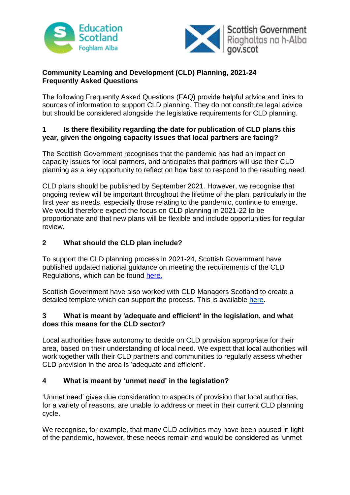



## **Community Learning and Development (CLD) Planning, 2021-24 Frequently Asked Questions**

The following Frequently Asked Questions (FAQ) provide helpful advice and links to sources of information to support CLD planning. They do not constitute legal advice but should be considered alongside the legislative requirements for CLD planning.

## **1 Is there flexibility regarding the date for publication of CLD plans this year, given the ongoing capacity issues that local partners are facing?**

The Scottish Government recognises that the pandemic has had an impact on capacity issues for local partners, and anticipates that partners will use their CLD planning as a key opportunity to reflect on how best to respond to the resulting need.

CLD plans should be published by September 2021. However, we recognise that ongoing review will be important throughout the lifetime of the plan, particularly in the first year as needs, especially those relating to the pandemic, continue to emerge. We would therefore expect the focus on CLD planning in 2021-22 to be proportionate and that new plans will be flexible and include opportunities for regular review.

## **2 What should the CLD plan include?**

To support the CLD planning process in 2021-24, Scottish Government have published updated national guidance on meeting the requirements of the CLD Regulations, which can be found [here.](https://www.gov.scot/publications/cld-plans-guidance-note/pages/5/)

Scottish Government have also worked with CLD Managers Scotland to create a detailed template which can support the process. This is available [here.](https://cldmanagersscotland.files.wordpress.com/2020/12/2020-november-cldms-cld-plan-reference-template-.docx)

### **3 What is meant by 'adequate and efficient' in the legislation, and what does this means for the CLD sector?**

Local authorities have autonomy to decide on CLD provision appropriate for their area, based on their understanding of local need. We expect that local authorities will work together with their CLD partners and communities to regularly assess whether CLD provision in the area is 'adequate and efficient'.

## **4 What is meant by 'unmet need' in the legislation?**

'Unmet need' gives due consideration to aspects of provision that local authorities, for a variety of reasons, are unable to address or meet in their current CLD planning cycle.

We recognise, for example, that many CLD activities may have been paused in light of the pandemic, however, these needs remain and would be considered as 'unmet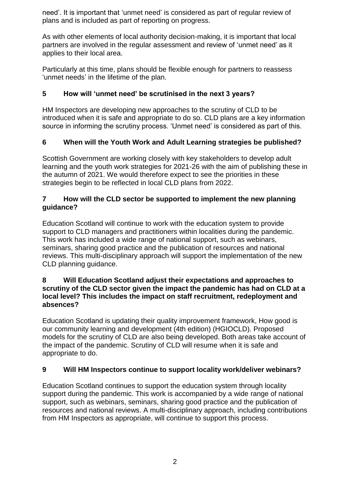need'. It is important that 'unmet need' is considered as part of regular review of plans and is included as part of reporting on progress.

As with other elements of local authority decision-making, it is important that local partners are involved in the regular assessment and review of 'unmet need' as it applies to their local area.

Particularly at this time, plans should be flexible enough for partners to reassess 'unmet needs' in the lifetime of the plan.

# **5 How will 'unmet need' be scrutinised in the next 3 years?**

HM Inspectors are developing new approaches to the scrutiny of CLD to be introduced when it is safe and appropriate to do so. CLD plans are a key information source in informing the scrutiny process. 'Unmet need' is considered as part of this.

## **6 When will the Youth Work and Adult Learning strategies be published?**

Scottish Government are working closely with key stakeholders to develop adult learning and the youth work strategies for 2021-26 with the aim of publishing these in the autumn of 2021. We would therefore expect to see the priorities in these strategies begin to be reflected in local CLD plans from 2022.

## **7 How will the CLD sector be supported to implement the new planning guidance?**

Education Scotland will continue to work with the education system to provide support to CLD managers and practitioners within localities during the pandemic. This work has included a wide range of national support, such as webinars, seminars, sharing good practice and the publication of resources and national reviews. This multi-disciplinary approach will support the implementation of the new CLD planning guidance.

#### **8 Will Education Scotland adjust their expectations and approaches to scrutiny of the CLD sector given the impact the pandemic has had on CLD at a local level? This includes the impact on staff recruitment, redeployment and absences?**

Education Scotland is updating their quality improvement framework, How good is our community learning and development (4th edition) (HGIOCLD). Proposed models for the scrutiny of CLD are also being developed. Both areas take account of the impact of the pandemic. Scrutiny of CLD will resume when it is safe and appropriate to do.

## **9 Will HM Inspectors continue to support locality work/deliver webinars?**

Education Scotland continues to support the education system through locality support during the pandemic. This work is accompanied by a wide range of national support, such as webinars, seminars, sharing good practice and the publication of resources and national reviews. A multi-disciplinary approach, including contributions from HM Inspectors as appropriate, will continue to support this process.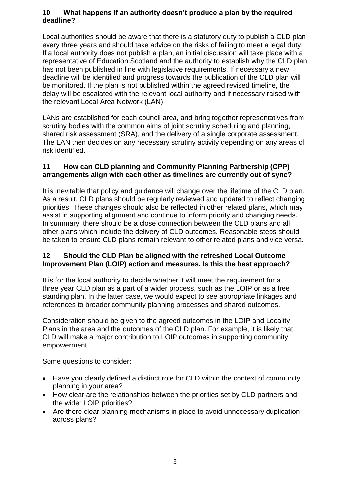## **10 What happens if an authority doesn't produce a plan by the required deadline?**

Local authorities should be aware that there is a statutory duty to publish a CLD plan every three years and should take advice on the risks of failing to meet a legal duty. If a local authority does not publish a plan, an initial discussion will take place with a representative of Education Scotland and the authority to establish why the CLD plan has not been published in line with legislative requirements. If necessary a new deadline will be identified and progress towards the publication of the CLD plan will be monitored. If the plan is not published within the agreed revised timeline, the delay will be escalated with the relevant local authority and if necessary raised with the relevant Local Area Network (LAN).

LANs are established for each council area, and bring together representatives from scrutiny bodies with the common aims of joint scrutiny scheduling and planning, shared risk assessment (SRA), and the delivery of a single corporate assessment. The LAN then decides on any necessary scrutiny activity depending on any areas of risk identified.

### **11 How can CLD planning and Community Planning Partnership (CPP) arrangements align with each other as timelines are currently out of sync?**

It is inevitable that policy and guidance will change over the lifetime of the CLD plan. As a result, CLD plans should be regularly reviewed and updated to reflect changing priorities. These changes should also be reflected in other related plans, which may assist in supporting alignment and continue to inform priority and changing needs. In summary, there should be a close connection between the CLD plans and all other plans which include the delivery of CLD outcomes. Reasonable steps should be taken to ensure CLD plans remain relevant to other related plans and vice versa.

### **12 Should the CLD Plan be aligned with the refreshed Local Outcome Improvement Plan (LOIP) action and measures. Is this the best approach?**

It is for the local authority to decide whether it will meet the requirement for a three year CLD plan as a part of a wider process, such as the LOIP or as a free standing plan. In the latter case, we would expect to see appropriate linkages and references to broader community planning processes and shared outcomes.

Consideration should be given to the agreed outcomes in the LOIP and Locality Plans in the area and the outcomes of the CLD plan. For example, it is likely that CLD will make a major contribution to LOIP outcomes in supporting community empowerment.

Some questions to consider:

- Have you clearly defined a distinct role for CLD within the context of community planning in your area?
- How clear are the relationships between the priorities set by CLD partners and the wider LOIP priorities?
- Are there clear planning mechanisms in place to avoid unnecessary duplication across plans?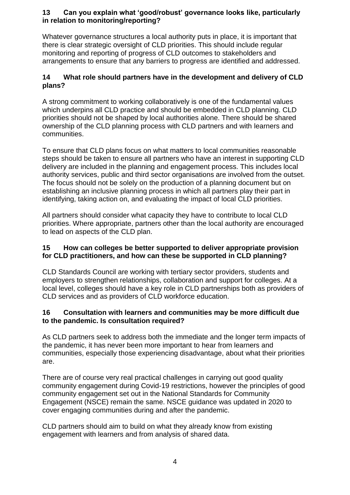## **13 Can you explain what 'good/robust' governance looks like, particularly in relation to monitoring/reporting?**

Whatever governance structures a local authority puts in place, it is important that there is clear strategic oversight of CLD priorities. This should include regular monitoring and reporting of progress of CLD outcomes to stakeholders and arrangements to ensure that any barriers to progress are identified and addressed.

## **14 What role should partners have in the development and delivery of CLD plans?**

A strong commitment to working collaboratively is one of the fundamental values which underpins all CLD practice and should be embedded in CLD planning. CLD priorities should not be shaped by local authorities alone. There should be shared ownership of the CLD planning process with CLD partners and with learners and communities.

To ensure that CLD plans focus on what matters to local communities reasonable steps should be taken to ensure all partners who have an interest in supporting CLD delivery are included in the planning and engagement process. This includes local authority services, public and third sector organisations are involved from the outset. The focus should not be solely on the production of a planning document but on establishing an inclusive planning process in which all partners play their part in identifying, taking action on, and evaluating the impact of local CLD priorities.

All partners should consider what capacity they have to contribute to local CLD priorities. Where appropriate, partners other than the local authority are encouraged to lead on aspects of the CLD plan.

## **15 How can colleges be better supported to deliver appropriate provision for CLD practitioners, and how can these be supported in CLD planning?**

CLD Standards Council are working with tertiary sector providers, students and employers to strengthen relationships, collaboration and support for colleges. At a local level, colleges should have a key role in CLD partnerships both as providers of CLD services and as providers of CLD workforce education.

## **16 Consultation with learners and communities may be more difficult due to the pandemic. Is consultation required?**

As CLD partners seek to address both the immediate and the longer term impacts of the pandemic, it has never been more important to hear from learners and communities, especially those experiencing disadvantage, about what their priorities are.

There are of course very real practical challenges in carrying out good quality community engagement during Covid-19 restrictions, however the principles of good community engagement set out in the National Standards for Community Engagement (NSCE) remain the same. NSCE guidance was updated in 2020 to cover engaging communities during and after the pandemic.

CLD partners should aim to build on what they already know from existing engagement with learners and from analysis of shared data.